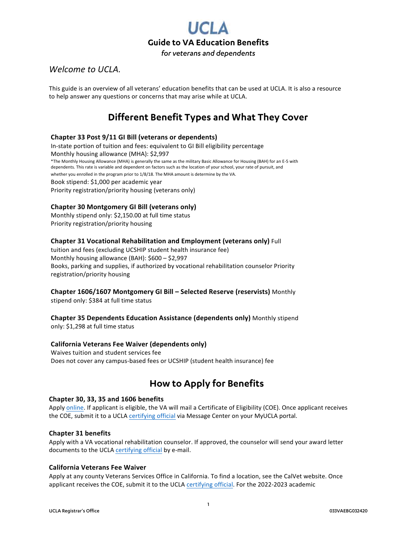

### *Welcome to UCLA.*

This guide is an overview of all veterans' education benefits that can be used at UCLA. It is also a resource to help answer any questions or concerns that may arise while at UCLA.

# **Different Benefit Types and What They Cover**

### **Chapter 33 Post 9/11 GI Bill (veterans or dependents)**

In-state portion of tuition and fees: equivalent to GI Bill eligibility percentage Monthly housing allowance (MHA): \$2,997 \*The Monthly Housing Allowance (MHA) is generally the same as the military Basic Allowance for Housing (BAH) for an E-5 with dependents. This rate is variable and dependent on factors such as the location of your school, your rate of pursuit, and whether you enrolled in the program prior to 1/8/18. The MHA amount is determine by the VA. Book stipend: \$1,000 per academic year Priority registration/priority housing (veterans only)

### **Chapter 30 Montgomery GI Bill (veterans only)**

Monthly stipend only: \$2,150.00 at full time status Priority registration/priority housing

### **Chapter 31 Vocational Rehabilitation and Employment (veterans only)** Full

tuition and fees (excluding UCSHIP student health insurance fee) Monthly housing allowance (BAH): \$600 – \$2,997 Books, parking and supplies, if authorized by vocational rehabilitation counselor Priority registration/priority housing

### **Chapter 1606/1607 Montgomery GI Bill – Selected Reserve (reservists)** Monthly

stipend only: \$384 at full time status

# **Chapter 35 Dependents Education Assistance (dependents only)** Monthly stipend

only: \$1,298 at full time status

### **California Veterans Fee Waiver (dependents only)**

Waives tuition and student services fee Does not cover any campus-based fees or UCSHIP (student health insurance) fee

# **How to Apply for Benefits**

### **Chapter 30, 33, 35 and 1606 benefits**

Apply online. If applicant is eligible, the VA will mail a Certificate of Eligibility (COE). Once applicant receives the COE, submit it to a UCLA certifying official via Message Center on your MyUCLA portal.

### **Chapter 31 benefits**

Apply with a VA vocational rehabilitation counselor. If approved, the counselor will send your award letter documents to the UCLA certifying official by e-mail.

### **California Veterans Fee Waiver**

Apply at any county Veterans Services Office in California. To find a location, see the CalVet website. Once applicant receives the COE, submit it to the UCLA certifying official. For the 2022-2023 academic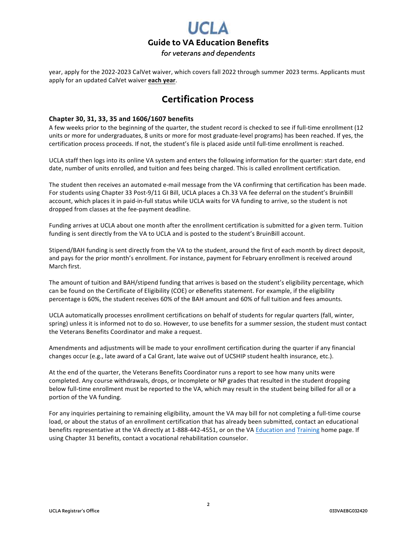

year, apply for the 2022-2023 CalVet waiver, which covers fall 2022 through summer 2023 terms. Applicants must apply for an updated CalVet waiver **each year**.

# **Certification Process**

### **Chapter 30, 31, 33, 35 and 1606/1607 benefits**

A few weeks prior to the beginning of the quarter, the student record is checked to see if full-time enrollment (12 units or more for undergraduates, 8 units or more for most graduate-level programs) has been reached. If yes, the certification process proceeds. If not, the student's file is placed aside until full-time enrollment is reached.

UCLA staff then logs into its online VA system and enters the following information for the quarter: start date, end date, number of units enrolled, and tuition and fees being charged. This is called enrollment certification.

The student then receives an automated e-mail message from the VA confirming that certification has been made. For students using Chapter 33 Post-9/11 GI Bill, UCLA places a Ch.33 VA fee deferral on the student's BruinBill account, which places it in paid-in-full status while UCLA waits for VA funding to arrive, so the student is not dropped from classes at the fee-payment deadline.

Funding arrives at UCLA about one month after the enrollment certification is submitted for a given term. Tuition funding is sent directly from the VA to UCLA and is posted to the student's BruinBill account.

Stipend/BAH funding is sent directly from the VA to the student, around the first of each month by direct deposit, and pays for the prior month's enrollment. For instance, payment for February enrollment is received around March first.

The amount of tuition and BAH/stipend funding that arrives is based on the student's eligibility percentage, which can be found on the Certificate of Eligibility (COE) or eBenefits statement. For example, if the eligibility percentage is 60%, the student receives 60% of the BAH amount and 60% of full tuition and fees amounts.

UCLA automatically processes enrollment certifications on behalf of students for regular quarters (fall, winter, spring) unless it is informed not to do so. However, to use benefits for a summer session, the student must contact the Veterans Benefits Coordinator and make a request.

Amendments and adjustments will be made to your enrollment certification during the quarter if any financial changes occur (e.g., late award of a Cal Grant, late waive out of UCSHIP student health insurance, etc.).

At the end of the quarter, the Veterans Benefits Coordinator runs a report to see how many units were completed. Any course withdrawals, drops, or Incomplete or NP grades that resulted in the student dropping below full-time enrollment must be reported to the VA, which may result in the student being billed for all or a portion of the VA funding.

For any inquiries pertaining to remaining eligibility, amount the VA may bill for not completing a full-time course load, or about the status of an enrollment certification that has already been submitted, contact an educational benefits representative at the VA directly at 1-888-442-4551, or on the VA Education and Training home page. If using Chapter 31 benefits, contact a vocational rehabilitation counselor.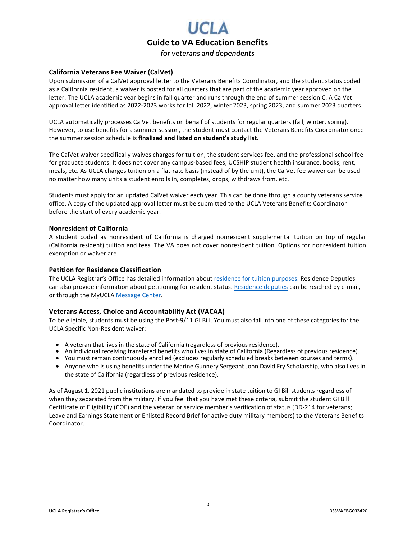

### **California Veterans Fee Waiver (CalVet)**

Upon submission of a CalVet approval letter to the Veterans Benefits Coordinator, and the student status coded as a California resident, a waiver is posted for all quarters that are part of the academic year approved on the letter. The UCLA academic year begins in fall quarter and runs through the end of summer session C. A CalVet approval letter identified as 2022-2023 works for fall 2022, winter 2023, spring 2023, and summer 2023 quarters.

UCLA automatically processes CalVet benefits on behalf of students for regular quarters (fall, winter, spring). However, to use benefits for a summer session, the student must contact the Veterans Benefits Coordinator once the summer session schedule is **finalized and listed on student's study list.**

The CalVet waiver specifically waives charges for tuition, the student services fee, and the professional school fee for graduate students. It does not cover any campus-based fees, UCSHIP student health insurance, books, rent, meals, etc. As UCLA charges tuition on a flat-rate basis (instead of by the unit), the CalVet fee waiver can be used no matter how many units a student enrolls in, completes, drops, withdraws from, etc.

Students must apply for an updated CalVet waiver each year. This can be done through a county veterans service office. A copy of the updated approval letter must be submitted to the UCLA Veterans Benefits Coordinator before the start of every academic year.

### **Nonresident of California**

A student coded as nonresident of California is charged nonresident supplemental tuition on top of regular (California resident) tuition and fees. The VA does not cover nonresident tuition. Options for nonresident tuition exemption or waiver are

#### **Petition for Residence Classification**

The UCLA Registrar's Office has detailed information about residence for tuition purposes. Residence Deputies can also provide information about petitioning for resident status. Residence deputies can be reached by e-mail, or through the MyUCLA Message Center.

### **Veterans Access, Choice and Accountability Act (VACAA)**

To be eligible, students must be using the Post-9/11 GI Bill. You must also fall into one of these categories for the UCLA Specific Non-Resident waiver:

- A veteran that lives in the state of California (regardless of previous residence).
- An individual receiving transfered benefits who lives in state of California (Regardless of previous residence).
- You must remain continuously enrolled (excludes regularly scheduled breaks between courses and terms).
- Anyone who is using benefits under the Marine Gunnery Sergeant John David Fry Scholarship, who also lives in the state of California (regardless of previous residence).

As of August 1, 2021 public institutions are mandated to provide in state tuition to GI Bill students regardless of when they separated from the military. If you feel that you have met these criteria, submit the student GI Bill Certificate of Eligibility (COE) and the veteran or service member's verification of status (DD-214 for veterans; Leave and Earnings Statement or Enlisted Record Brief for active duty military members) to the Veterans Benefits Coordinator.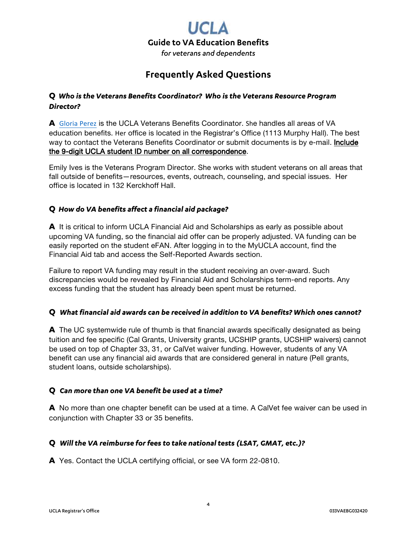

# **Frequently Asked Questions**

### **Q** *Who is the Veterans Benefits Coordinator? Who is the Veterans Resource Program Director?*

**A** Gloria Perez is the UCLA Veterans Benefits Coordinator. She handles all areas of VA education benefits. Her office is located in the Registrar's Office (1113 Murphy Hall). The best way to contact the Veterans Benefits Coordinator or submit documents is by e-mail. Include the 9-digit UCLA student ID number on all correspondence.

Emily Ives is the Veterans Program Director. She works with student veterans on all areas that fall outside of benefits—resources, events, outreach, counseling, and special issues. Her office is located in 132 Kerckhoff Hall.

### **Q** *How do VA benefits affect a financial aid package?*

**A** It is critical to inform UCLA Financial Aid and Scholarships as early as possible about upcoming VA funding, so the financial aid offer can be properly adjusted. VA funding can be easily reported on the student eFAN. After logging in to the MyUCLA account, find the Financial Aid tab and access the Self-Reported Awards section.

Failure to report VA funding may result in the student receiving an over-award. Such discrepancies would be revealed by Financial Aid and Scholarships term-end reports. Any excess funding that the student has already been spent must be returned.

### **Q** *What financial aid awards can be received in addition to VA benefits? Which ones cannot?*

**A** The UC systemwide rule of thumb is that financial awards specifically designated as being tuition and fee specific (Cal Grants, University grants, UCSHIP grants, UCSHIP waivers) cannot be used on top of Chapter 33, 31, or CalVet waiver funding. However, students of any VA benefit can use any financial aid awards that are considered general in nature (Pell grants, student loans, outside scholarships).

### **Q** *Can more than one VA benefit be used at a time?*

**A** No more than one chapter benefit can be used at a time. A CalVet fee waiver can be used in conjunction with Chapter 33 or 35 benefits.

### **Q** *Will the VA reimburse for fees to take national tests (LSAT, GMAT, etc.)?*

**A** Yes. Contact the UCLA certifying official, or see VA form 22-0810.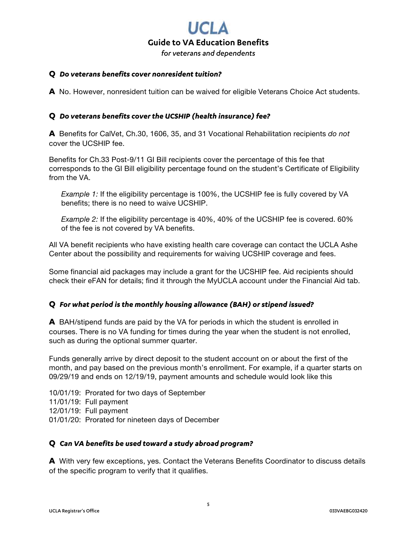# **Guide to VA Education Benefits** *for veterans and dependents*

### **Q** *Do veterans benefits cover nonresident tuition?*

**A** No. However, nonresident tuition can be waived for eligible Veterans Choice Act students.

### **Q** *Do veterans benefits cover the UCSHIP (health insurance) fee?*

**A** Benefits for CalVet, Ch.30, 1606, 35, and 31 Vocational Rehabilitation recipients *do not* cover the UCSHIP fee.

Benefits for Ch.33 Post-9/11 GI Bill recipients cover the percentage of this fee that corresponds to the GI Bill eligibility percentage found on the student's Certificate of Eligibility from the VA.

*Example 1:* If the eligibility percentage is 100%, the UCSHIP fee is fully covered by VA benefits; there is no need to waive UCSHIP.

*Example 2:* If the eligibility percentage is 40%, 40% of the UCSHIP fee is covered. 60% of the fee is not covered by VA benefits.

All VA benefit recipients who have existing health care coverage can contact the UCLA Ashe Center about the possibility and requirements for waiving UCSHIP coverage and fees.

Some financial aid packages may include a grant for the UCSHIP fee. Aid recipients should check their eFAN for details; find it through the MyUCLA account under the Financial Aid tab.

### **Q** *For what period is the monthly housing allowance (BAH) or stipend issued?*

**A** BAH/stipend funds are paid by the VA for periods in which the student is enrolled in courses. There is no VA funding for times during the year when the student is not enrolled, such as during the optional summer quarter.

Funds generally arrive by direct deposit to the student account on or about the first of the month, and pay based on the previous month's enrollment. For example, if a quarter starts on 09/29/19 and ends on 12/19/19, payment amounts and schedule would look like this

10/01/19: Prorated for two days of September 11/01/19: Full payment 12/01/19: Full payment 01/01/20: Prorated for nineteen days of December

### **Q** *Can VA benefits be used toward a study abroad program?*

**A** With very few exceptions, yes. Contact the Veterans Benefits Coordinator to discuss details of the specific program to verify that it qualifies.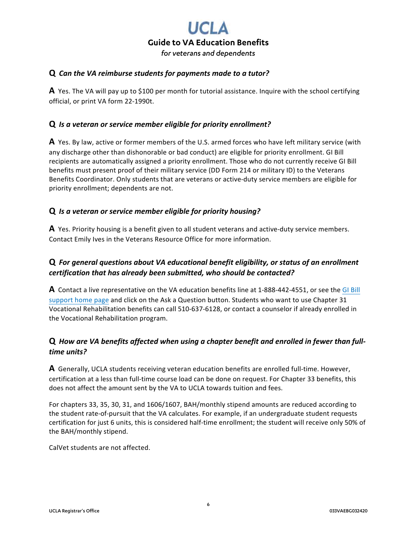

### **Q** *Can the VA reimburse students for payments made to a tutor?*

**A** Yes. The VA will pay up to \$100 per month for tutorial assistance. Inquire with the school certifying official, or print VA form 22-1990t.

### **Q** *Is a veteran or service member eligible for priority enrollment?*

**A** Yes. By law, active or former members of the U.S. armed forces who have left military service (with any discharge other than dishonorable or bad conduct) are eligible for priority enrollment. GI Bill recipients are automatically assigned a priority enrollment. Those who do not currently receive GI Bill benefits must present proof of their military service (DD Form 214 or military ID) to the Veterans Benefits Coordinator. Only students that are veterans or active-duty service members are eligible for priority enrollment; dependents are not.

### **Q** *Is a veteran or service member eligible for priority housing?*

**A** Yes. Priority housing is a benefit given to all student veterans and active-duty service members. Contact Emily Ives in the Veterans Resource Office for more information.

### **Q** *For general questions about VA educational benefit eligibility, or status of an enrollment certification that has already been submitted, who should be contacted?*

**A** Contact a live representative on the VA education benefits line at 1-888-442-4551, or see the GI Bill support home page and click on the Ask a Question button. Students who want to use Chapter 31 Vocational Rehabilitation benefits can call 510-637-6128, or contact a counselor if already enrolled in the Vocational Rehabilitation program.

### **Q** *How are VA benefits affected when using a chapter benefit and enrolled in fewer than fulltime units?*

**A** Generally, UCLA students receiving veteran education benefits are enrolled full-time. However, certification at a less than full-time course load can be done on request. For Chapter 33 benefits, this does not affect the amount sent by the VA to UCLA towards tuition and fees.

For chapters 33, 35, 30, 31, and 1606/1607, BAH/monthly stipend amounts are reduced according to the student rate-of-pursuit that the VA calculates. For example, if an undergraduate student requests certification for just 6 units, this is considered half-time enrollment; the student will receive only 50% of the BAH/monthly stipend.

CalVet students are not affected.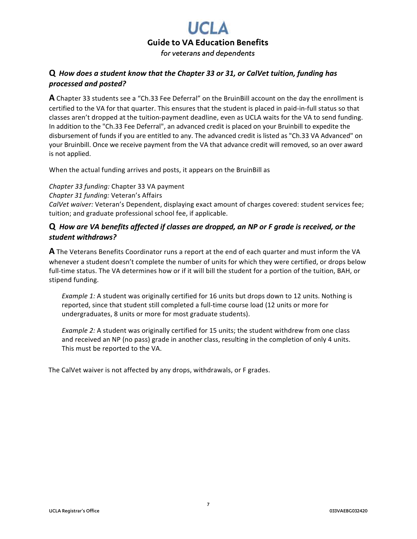# **Guide to VA Education Benefits**

### *for veterans and dependents*

### **Q** *How does a student know that the Chapter 33 or 31, or CalVet tuition, funding has processed and posted?*

**A** Chapter 33 students see a "Ch.33 Fee Deferral" on the BruinBill account on the day the enrollment is certified to the VA for that quarter. This ensures that the student is placed in paid-in-full status so that classes aren't dropped at the tuition-payment deadline, even as UCLA waits for the VA to send funding. In addition to the "Ch.33 Fee Deferral", an advanced credit is placed on your Bruinbill to expedite the disbursement of funds if you are entitled to any. The advanced credit is listed as "Ch.33 VA Advanced" on your Bruinbill. Once we receive payment from the VA that advance credit will removed, so an over award is not applied.

When the actual funding arrives and posts, it appears on the BruinBill as

*Chapter 33 funding:* Chapter 33 VA payment *Chapter 31 funding:* Veteran's Affairs *CalVet waiver:* Veteran's Dependent, displaying exact amount of charges covered: student services fee; tuition; and graduate professional school fee, if applicable.

### **Q** *How are VA benefits affected if classes are dropped, an NP or F grade is received, or the student withdraws?*

**A** The Veterans Benefits Coordinator runs a report at the end of each quarter and must inform the VA whenever a student doesn't complete the number of units for which they were certified, or drops below full-time status. The VA determines how or if it will bill the student for a portion of the tuition, BAH, or stipend funding.

*Example 1:* A student was originally certified for 16 units but drops down to 12 units. Nothing is reported, since that student still completed a full-time course load (12 units or more for undergraduates, 8 units or more for most graduate students).

*Example 2:* A student was originally certified for 15 units; the student withdrew from one class and received an NP (no pass) grade in another class, resulting in the completion of only 4 units. This must be reported to the VA.

The CalVet waiver is not affected by any drops, withdrawals, or F grades.